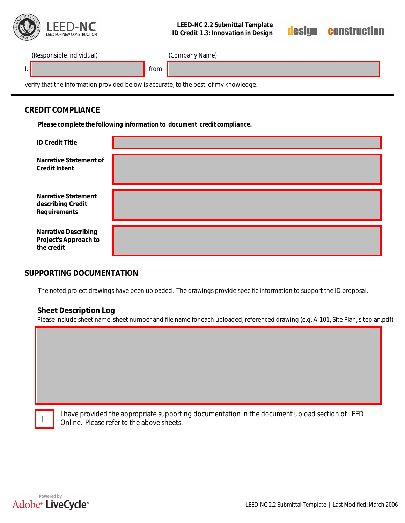

## **LEED-NC 2.2 Submittal Template ID Credit 1.3: Innovation in Design**



(Responsible Individual) (Company Name)

l, <mark>,</mark> , from

verify that the information provided below is accurate, to the best of my knowledge.

## **CREDIT COMPLIANCE**

*Please complete the following information to document credit compliance.*

| <b>ID Credit Title</b>                                             |  |
|--------------------------------------------------------------------|--|
| Narrative Statement of<br><b>Credit Intent</b>                     |  |
| <b>Narrative Statement</b><br>describing Credit<br>Requirements    |  |
| <b>Narrative Describing</b><br>Project's Approach to<br>the credit |  |

## **SUPPORTING DOCUMENTATION**

The noted project drawings have been uploaded. The drawings provide specific information to support the ID proposal.

## **Sheet Description Log**

Please include sheet name, sheet number and file name for each uploaded, referenced drawing (e.g. A-101, Site Plan, siteplan.pdf)

| I have provided the appropriate supporting documentation in the document upload section of LEED |
|-------------------------------------------------------------------------------------------------|
| Online. Please refer to the above sheets.                                                       |